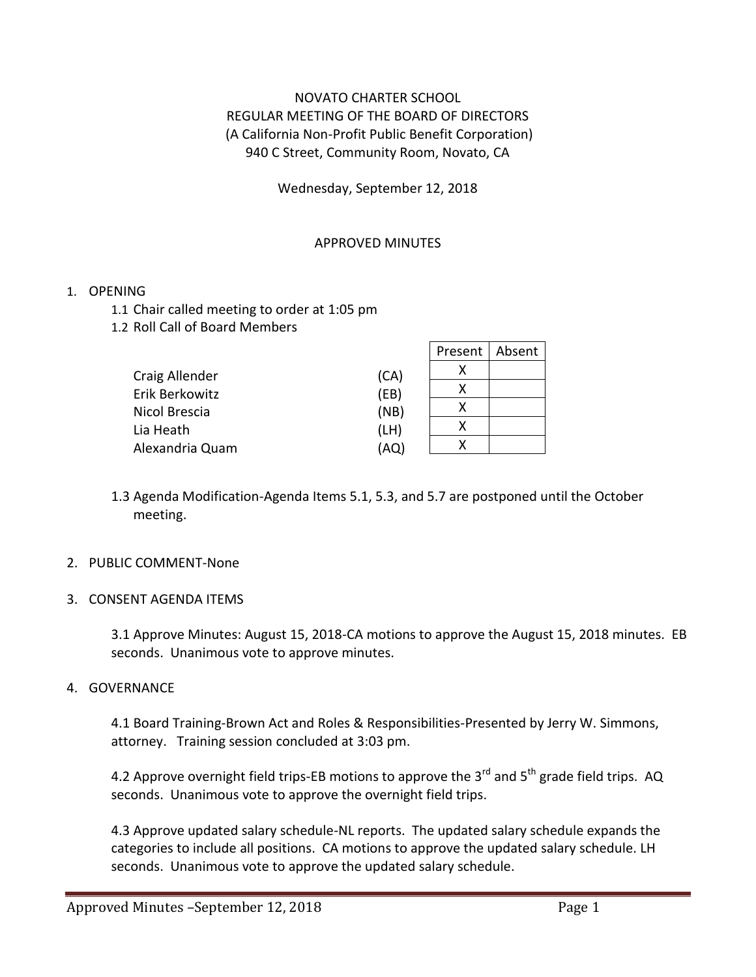# NOVATO CHARTER SCHOOL REGULAR MEETING OF THE BOARD OF DIRECTORS (A California Non-Profit Public Benefit Corporation) 940 C Street, Community Room, Novato, CA

Wednesday, September 12, 2018

## APPROVED MINUTES

## 1. OPENING

- 1.1 Chair called meeting to order at 1:05 pm
- 1.2 Roll Call of Board Members

|                 |      | Present | Absent |
|-----------------|------|---------|--------|
| Craig Allender  | (CA) | х       |        |
| Erik Berkowitz  | (EB) | x       |        |
| Nicol Brescia   | (NB) | χ       |        |
| Lia Heath       | (LH) | x       |        |
| Alexandria Quam | (AQ) | x       |        |

1.3 Agenda Modification-Agenda Items 5.1, 5.3, and 5.7 are postponed until the October meeting.

#### 2. PUBLIC COMMENT-None

3. CONSENT AGENDA ITEMS

3.1 Approve Minutes: August 15, 2018-CA motions to approve the August 15, 2018 minutes. EB seconds. Unanimous vote to approve minutes.

#### 4. GOVERNANCE

4.1 Board Training-Brown Act and Roles & Responsibilities-Presented by Jerry W. Simmons, attorney. Training session concluded at 3:03 pm.

4.2 Approve overnight field trips-EB motions to approve the 3 $^{rd}$  and 5<sup>th</sup> grade field trips. AQ seconds. Unanimous vote to approve the overnight field trips.

4.3 Approve updated salary schedule-NL reports. The updated salary schedule expands the categories to include all positions. CA motions to approve the updated salary schedule. LH seconds. Unanimous vote to approve the updated salary schedule.